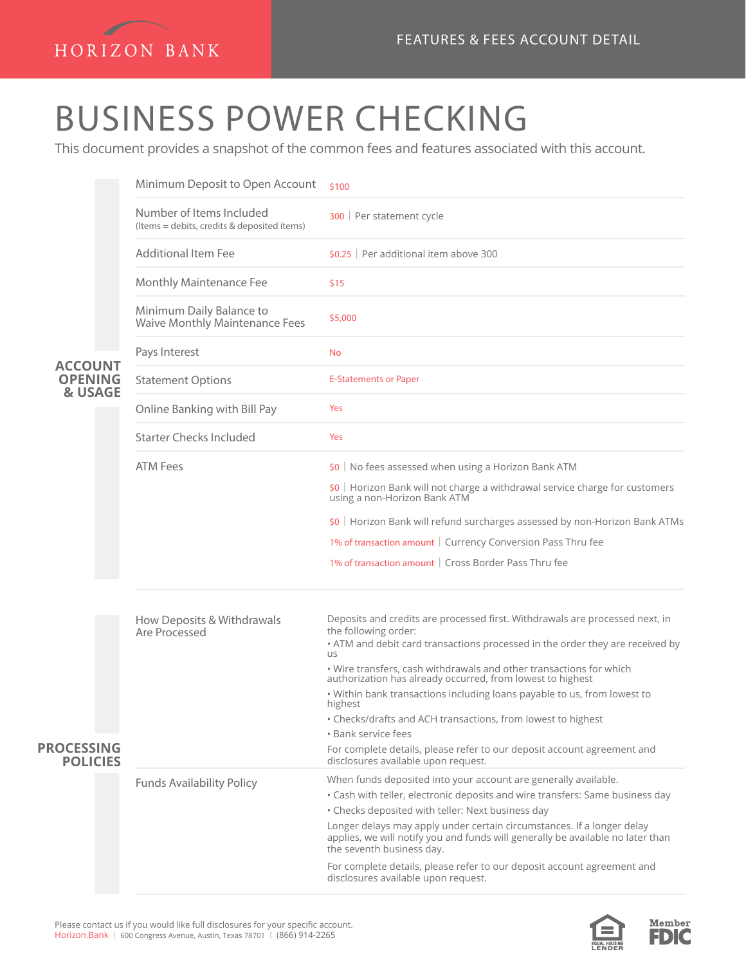

## BUSINESS POWER CHECKING

This document provides a snapshot of the common fees and features associated with this account.

|                                             | Minimum Deposit to Open Account                                         | \$100                                                                                                                          |
|---------------------------------------------|-------------------------------------------------------------------------|--------------------------------------------------------------------------------------------------------------------------------|
|                                             | Number of Items Included<br>(Items = debits, credits & deposited items) | 300   Per statement cycle                                                                                                      |
|                                             | <b>Additional Item Fee</b>                                              | $$0.25$   Per additional item above 300                                                                                        |
|                                             | Monthly Maintenance Fee                                                 | \$15                                                                                                                           |
|                                             | Minimum Daily Balance to<br><b>Waive Monthly Maintenance Fees</b>       | \$5,000                                                                                                                        |
|                                             | Pays Interest                                                           | No                                                                                                                             |
| <b>ACCOUNT</b><br><b>OPENING</b><br>& USAGE | <b>Statement Options</b>                                                | <b>E-Statements or Paper</b>                                                                                                   |
|                                             | Online Banking with Bill Pay                                            | Yes                                                                                                                            |
|                                             | <b>Starter Checks Included</b>                                          | Yes                                                                                                                            |
|                                             | <b>ATM Fees</b>                                                         | \$0   No fees assessed when using a Horizon Bank ATM                                                                           |
|                                             |                                                                         | \$0   Horizon Bank will not charge a withdrawal service charge for customers<br>using a non-Horizon Bank ATM                   |
|                                             |                                                                         | \$0   Horizon Bank will refund surcharges assessed by non-Horizon Bank ATMs                                                    |
|                                             |                                                                         | 1% of transaction amount   Currency Conversion Pass Thru fee                                                                   |
|                                             |                                                                         | 1% of transaction amount   Cross Border Pass Thru fee                                                                          |
|                                             |                                                                         |                                                                                                                                |
|                                             | How Deposits & Withdrawals<br>Are Processed                             | Deposits and credits are processed first. Withdrawals are processed next, in<br>the following order:                           |
|                                             |                                                                         | • ATM and debit card transactions processed in the order they are received by<br><b>US</b>                                     |
|                                             |                                                                         | • Wire transfers, cash withdrawals and other transactions for which authorization has already occurred, from lowest to highest |
|                                             |                                                                         | . Within bank transactions including loans payable to us, from lowest to<br>highest                                            |
|                                             |                                                                         | • Checks/drafts and ACH transactions, from lowest to highest<br>· Bank service fees                                            |
| <b>PROCESSING</b><br><b>POLICIES</b>        |                                                                         | For complete details, please refer to our deposit account agreement and<br>disclosures available upon request.                 |
|                                             | <b>Funds Availability Policy</b>                                        | When funds deposited into your account are generally available.                                                                |
|                                             |                                                                         | • Cash with teller, electronic deposits and wire transfers: Same business day                                                  |
|                                             |                                                                         | • Checks deposited with teller: Next business day<br>Longer delays may apply under certain circumstances. If a longer delay    |
|                                             |                                                                         | applies, we will notify you and funds will generally be available no later than<br>the seventh business day.                   |
|                                             |                                                                         | For complete details, please refer to our deposit account agreement and<br>disclosures available upon request.                 |
|                                             |                                                                         |                                                                                                                                |



Member FDIC